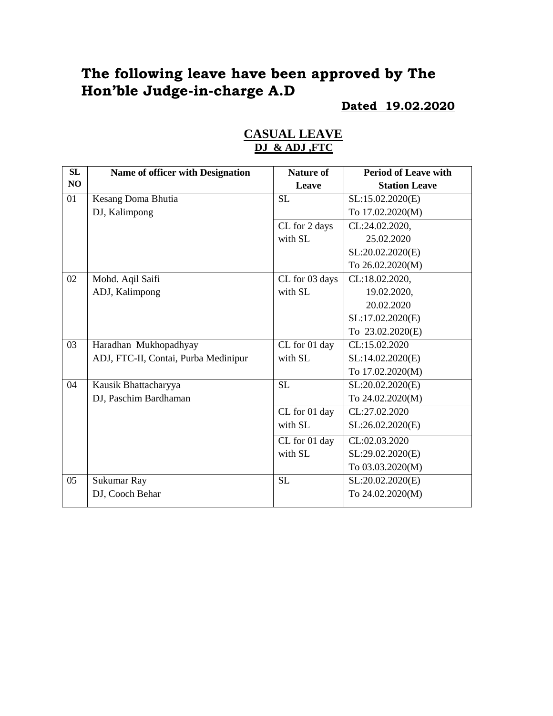# **The following leave have been approved by The Hon'ble Judge-in-charge A.D**

#### **Dated 19.02.2020**

| <b>SL</b> | <b>Name of officer with Designation</b> | <b>Nature of</b> | <b>Period of Leave with</b> |
|-----------|-----------------------------------------|------------------|-----------------------------|
| NO        |                                         | Leave            | <b>Station Leave</b>        |
| 01        | Kesang Doma Bhutia                      | <b>SL</b>        | SL:15.02.2020(E)            |
|           | DJ, Kalimpong                           |                  | To 17.02.2020(M)            |
|           |                                         | CL for 2 days    | CL:24.02.2020,              |
|           |                                         | with SL          | 25.02.2020                  |
|           |                                         |                  | SL:20.02.2020(E)            |
|           |                                         |                  | To 26.02.2020(M)            |
| 02        | Mohd. Aqil Saifi                        | CL for 03 days   | CL:18.02.2020,              |
|           | ADJ, Kalimpong                          | with SL          | 19.02.2020,                 |
|           |                                         |                  | 20.02.2020                  |
|           |                                         |                  | SL:17.02.2020(E)            |
|           |                                         |                  | To 23.02.2020(E)            |
| 03        | Haradhan Mukhopadhyay                   | CL for 01 day    | CL:15.02.2020               |
|           | ADJ, FTC-II, Contai, Purba Medinipur    | with SL          | SL:14.02.2020(E)            |
|           |                                         |                  | To 17.02.2020(M)            |
| 04        | Kausik Bhattacharyya                    | <b>SL</b>        | SL:20.02.2020(E)            |
|           | DJ, Paschim Bardhaman                   |                  | To 24.02.2020(M)            |
|           |                                         | CL for 01 day    | CL:27.02.2020               |
|           |                                         | with SL          | SL:26.02.2020(E)            |
|           |                                         | CL for 01 day    | CL:02.03.2020               |
|           |                                         | with SL          | SL:29.02.2020(E)            |
|           |                                         |                  | To 03.03.2020(M)            |
| 05        | Sukumar Ray                             | <b>SL</b>        | SL:20.02.2020(E)            |
|           | DJ, Cooch Behar                         |                  | To 24.02.2020(M)            |
|           |                                         |                  |                             |

#### **CASUAL LEAVE DJ & ADJ ,FTC**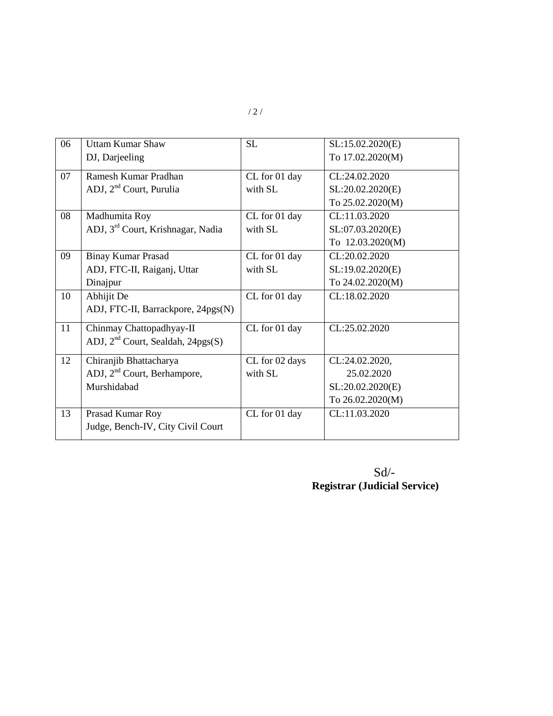| 06 | <b>Uttam Kumar Shaw</b>                       | SL             | SL:15.02.2020(E) |
|----|-----------------------------------------------|----------------|------------------|
|    | DJ, Darjeeling                                |                | To 17.02.2020(M) |
| 07 | Ramesh Kumar Pradhan                          | CL for 01 day  | CL:24.02.2020    |
|    | ADJ, 2 <sup>nd</sup> Court, Purulia           | with SL        | SL:20.02.2020(E) |
|    |                                               |                | To 25.02.2020(M) |
| 08 | Madhumita Roy                                 | CL for 01 day  | CL:11.03.2020    |
|    | ADJ, 3 <sup>rd</sup> Court, Krishnagar, Nadia | with SL        | SL:07.03.2020(E) |
|    |                                               |                | To 12.03.2020(M) |
| 09 | <b>Binay Kumar Prasad</b>                     | CL for 01 day  | CL:20.02.2020    |
|    | ADJ, FTC-II, Raiganj, Uttar                   | with SL        | SL:19.02.2020(E) |
|    | Dinajpur                                      |                | To 24.02.2020(M) |
| 10 | Abhijit De                                    | CL for 01 day  | CL:18.02.2020    |
|    | ADJ, FTC-II, Barrackpore, 24pgs(N)            |                |                  |
| 11 | Chinmay Chattopadhyay-II                      | CL for 01 day  | CL:25.02.2020    |
|    | ADJ, $2nd$ Court, Sealdah, 24pgs(S)           |                |                  |
| 12 | Chiranjib Bhattacharya                        | CL for 02 days | CL:24.02.2020,   |
|    | ADJ, 2 <sup>nd</sup> Court, Berhampore,       | with SL        | 25.02.2020       |
|    | Murshidabad                                   |                | SL:20.02.2020(E) |
|    |                                               |                | To 26.02.2020(M) |
| 13 | Prasad Kumar Roy                              | CL for 01 day  | CL:11.03.2020    |
|    | Judge, Bench-IV, City Civil Court             |                |                  |
|    |                                               |                |                  |

Sd/- **Registrar (Judicial Service)**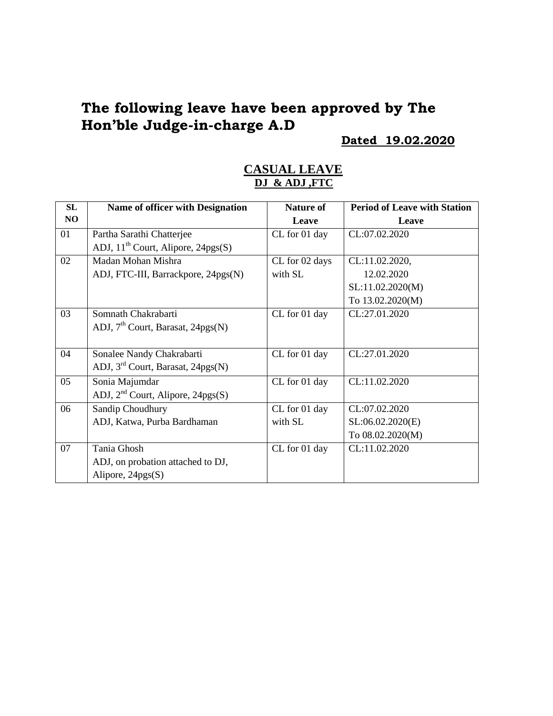# **The following leave have been approved by The Hon'ble Judge-in-charge A.D**

#### **Dated 19.02.2020**

#### **CASUAL LEAVE DJ & ADJ ,FTC**

| <b>SL</b> | <b>Name of officer with Designation</b>       | <b>Nature of</b> | <b>Period of Leave with Station</b> |
|-----------|-----------------------------------------------|------------------|-------------------------------------|
| NO        |                                               | Leave            | Leave                               |
| 01        | Partha Sarathi Chatterjee                     | CL for 01 day    | CL:07.02.2020                       |
|           | ADJ, $11^{th}$ Court, Alipore, 24pgs(S)       |                  |                                     |
| 02        | Madan Mohan Mishra                            | CL for 02 days   | CL:11.02.2020,                      |
|           | ADJ, FTC-III, Barrackpore, 24pgs(N)           | with SL          | 12.02.2020                          |
|           |                                               |                  | SL:11.02.2020(M)                    |
|           |                                               |                  | To 13.02.2020(M)                    |
| 03        | Somnath Chakrabarti                           | CL for 01 day    | CL:27.01.2020                       |
|           | ADJ, 7 <sup>th</sup> Court, Barasat, 24pgs(N) |                  |                                     |
|           |                                               |                  |                                     |
| 04        | Sonalee Nandy Chakrabarti                     | CL for 01 day    | CL:27.01.2020                       |
|           | ADJ, $3rd$ Court, Barasat, 24pgs(N)           |                  |                                     |
| 05        | Sonia Majumdar                                | CL for 01 day    | CL:11.02.2020                       |
|           | ADJ, 2 <sup>nd</sup> Court, Alipore, 24pgs(S) |                  |                                     |
| 06        | Sandip Choudhury                              | CL for 01 day    | CL:07.02.2020                       |
|           | ADJ, Katwa, Purba Bardhaman                   | with SL          | SL:06.02.2020(E)                    |
|           |                                               |                  | To 08.02.2020(M)                    |
| 07        | Tania Ghosh                                   | CL for 01 day    | CL:11.02.2020                       |
|           | ADJ, on probation attached to DJ,             |                  |                                     |
|           | Alipore, $24pgs(S)$                           |                  |                                     |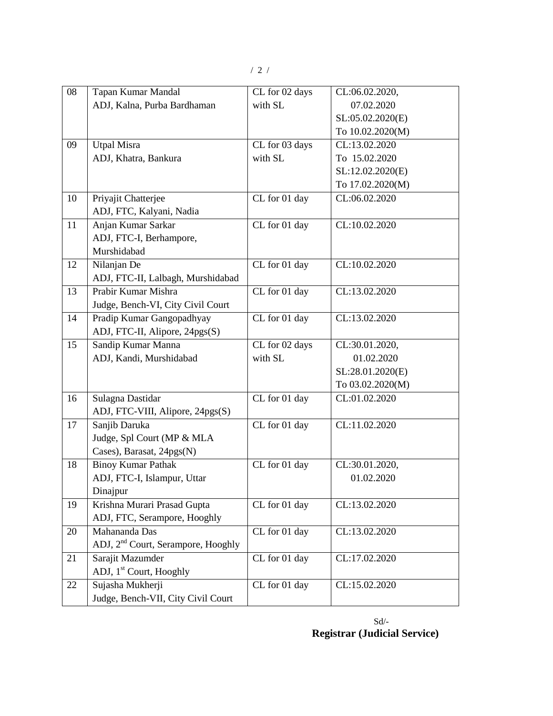| 08 | Tapan Kumar Mandal                             | CL for 02 days | CL:06.02.2020,   |
|----|------------------------------------------------|----------------|------------------|
|    | ADJ, Kalna, Purba Bardhaman                    | with SL        | 07.02.2020       |
|    |                                                |                | SL:05.02.2020(E) |
|    |                                                |                | To 10.02.2020(M) |
| 09 | <b>Utpal Misra</b>                             | CL for 03 days | CL:13.02.2020    |
|    | ADJ, Khatra, Bankura                           | with SL        | To 15.02.2020    |
|    |                                                |                | SL:12.02.2020(E) |
|    |                                                |                | To 17.02.2020(M) |
| 10 | Priyajit Chatterjee                            | CL for 01 day  | CL:06.02.2020    |
|    | ADJ, FTC, Kalyani, Nadia                       |                |                  |
| 11 | Anjan Kumar Sarkar                             | CL for 01 day  | CL:10.02.2020    |
|    | ADJ, FTC-I, Berhampore,                        |                |                  |
|    | Murshidabad                                    |                |                  |
| 12 | Nilanjan De                                    | CL for 01 day  | CL:10.02.2020    |
|    | ADJ, FTC-II, Lalbagh, Murshidabad              |                |                  |
| 13 | Prabir Kumar Mishra                            | CL for 01 day  | CL:13.02.2020    |
|    | Judge, Bench-VI, City Civil Court              |                |                  |
| 14 | Pradip Kumar Gangopadhyay                      | CL for 01 day  | CL:13.02.2020    |
|    | ADJ, FTC-II, Alipore, 24pgs(S)                 |                |                  |
| 15 | Sandip Kumar Manna                             | CL for 02 days | CL:30.01.2020,   |
|    | ADJ, Kandi, Murshidabad                        | with SL        | 01.02.2020       |
|    |                                                |                | SL:28.01.2020(E) |
|    |                                                |                | To 03.02.2020(M) |
| 16 | Sulagna Dastidar                               | CL for 01 day  | CL:01.02.2020    |
|    | ADJ, FTC-VIII, Alipore, 24pgs(S)               |                |                  |
| 17 | Sanjib Daruka                                  | CL for 01 day  | CL:11.02.2020    |
|    | Judge, Spl Court (MP & MLA                     |                |                  |
|    | Cases), Barasat, 24pgs(N)                      |                |                  |
| 18 | <b>Binoy Kumar Pathak</b>                      | CL for 01 day  | CL:30.01.2020,   |
|    | ADJ, FTC-I, Islampur, Uttar                    |                | 01.02.2020       |
|    | Dinajpur                                       |                |                  |
| 19 | Krishna Murari Prasad Gupta                    | CL for 01 day  | CL:13.02.2020    |
|    | ADJ, FTC, Serampore, Hooghly                   |                |                  |
| 20 | Mahananda Das                                  | CL for 01 day  | CL:13.02.2020    |
|    | ADJ, 2 <sup>nd</sup> Court, Serampore, Hooghly |                |                  |
| 21 | Sarajit Mazumder                               | CL for 01 day  | CL:17.02.2020    |
|    | ADJ, 1 <sup>st</sup> Court, Hooghly            |                |                  |
| 22 | Sujasha Mukherji                               | CL for 01 day  | CL:15.02.2020    |
|    | Judge, Bench-VII, City Civil Court             |                |                  |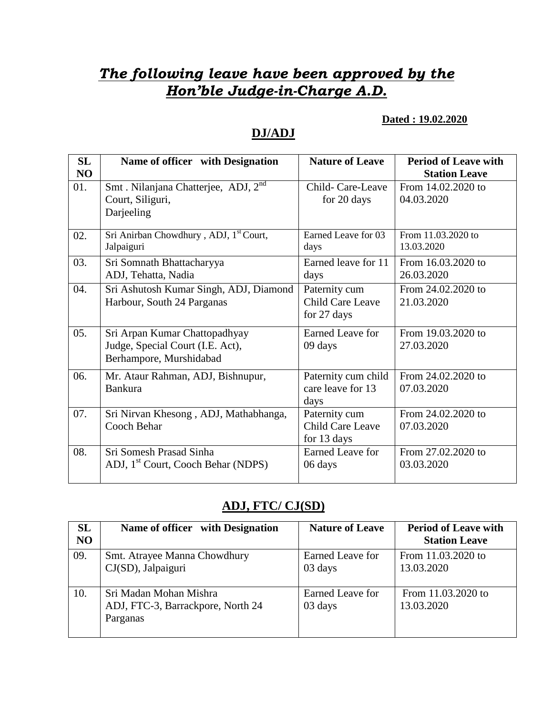# *The following leave have been approved by the Hon'ble Judge-in-Charge A.D.*

#### **Dated : 19.02.2020**

### **DJ/ADJ**

| SL  | Name of officer with Designation                   | <b>Nature of Leave</b>  | <b>Period of Leave with</b> |
|-----|----------------------------------------------------|-------------------------|-----------------------------|
| NO  |                                                    |                         | <b>Station Leave</b>        |
| 01. | Smt. Nilanjana Chatterjee, ADJ, 2 <sup>nd</sup>    | Child-Care-Leave        | From 14.02.2020 to          |
|     | Court, Siliguri,                                   | for 20 days             | 04.03.2020                  |
|     | Darjeeling                                         |                         |                             |
| 02. | Sri Anirban Chowdhury, ADJ, 1 <sup>st</sup> Court, | Earned Leave for 03     | From 11.03.2020 to          |
|     | Jalpaiguri                                         | days                    | 13.03.2020                  |
| 03. | Sri Somnath Bhattacharyya                          | Earned leave for 11     | From 16.03.2020 to          |
|     | ADJ, Tehatta, Nadia                                | days                    | 26.03.2020                  |
| 04. | Sri Ashutosh Kumar Singh, ADJ, Diamond             | Paternity cum           | From 24.02.2020 to          |
|     | Harbour, South 24 Parganas                         | <b>Child Care Leave</b> | 21.03.2020                  |
|     |                                                    | for 27 days             |                             |
| 05. | Sri Arpan Kumar Chattopadhyay                      | Earned Leave for        | From 19.03.2020 to          |
|     | Judge, Special Court (I.E. Act),                   | 09 days                 | 27.03.2020                  |
|     | Berhampore, Murshidabad                            |                         |                             |
| 06. | Mr. Ataur Rahman, ADJ, Bishnupur,                  | Paternity cum child     | From 24.02.2020 to          |
|     | <b>Bankura</b>                                     | care leave for 13       | 07.03.2020                  |
|     |                                                    | days                    |                             |
| 07. | Sri Nirvan Khesong, ADJ, Mathabhanga,              | Paternity cum           | From 24.02.2020 to          |
|     | Cooch Behar                                        | Child Care Leave        | 07.03.2020                  |
|     |                                                    | for 13 days             |                             |
| 08. | Sri Somesh Prasad Sinha                            | Earned Leave for        | From 27.02.2020 to          |
|     | ADJ, 1 <sup>st</sup> Court, Cooch Behar (NDPS)     | 06 days                 | 03.03.2020                  |
|     |                                                    |                         |                             |

### **ADJ, FTC/ CJ(SD)**

| <b>SL</b><br>N <sub>O</sub> | Name of officer with Designation                                        | <b>Nature of Leave</b>      | <b>Period of Leave with</b><br><b>Station Leave</b> |
|-----------------------------|-------------------------------------------------------------------------|-----------------------------|-----------------------------------------------------|
| 09.                         | Smt. Atrayee Manna Chowdhury<br>CJ(SD), Jalpaiguri                      | Earned Leave for<br>03 days | From 11.03.2020 to<br>13.03.2020                    |
| 10.                         | Sri Madan Mohan Mishra<br>ADJ, FTC-3, Barrackpore, North 24<br>Parganas | Earned Leave for<br>03 days | From 11.03.2020 to<br>13.03.2020                    |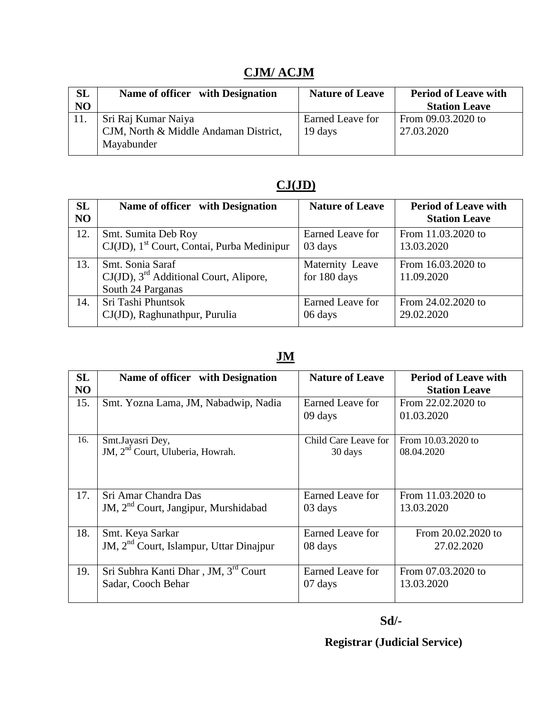# **CJM/ ACJM**

| SL | Name of officer with Designation                                           | <b>Nature of Leave</b>      | <b>Period of Leave with</b>      |
|----|----------------------------------------------------------------------------|-----------------------------|----------------------------------|
| NO |                                                                            |                             | <b>Station Leave</b>             |
|    | Sri Raj Kumar Naiya<br>CJM, North & Middle Andaman District,<br>Mayabunder | Earned Leave for<br>19 days | From 09.03.2020 to<br>27.03.2020 |

## **CJ(JD)**

| SL<br>N <sub>O</sub> | Name of officer with Designation                                                     | <b>Nature of Leave</b>          | <b>Period of Leave with</b><br><b>Station Leave</b> |
|----------------------|--------------------------------------------------------------------------------------|---------------------------------|-----------------------------------------------------|
| 12.                  | Smt. Sumita Deb Roy                                                                  | Earned Leave for                | From 11.03.2020 to                                  |
|                      | CJ(JD), 1 <sup>st</sup> Court, Contai, Purba Medinipur                               | 03 days                         | 13.03.2020                                          |
| 13.                  | Smt. Sonia Saraf<br>$CJ(JD)$ , $3rd$ Additional Court, Alipore,<br>South 24 Parganas | Maternity Leave<br>for 180 days | From 16.03.2020 to<br>11.09.2020                    |
| 14.                  | Sri Tashi Phuntsok                                                                   | Earned Leave for                | From 24.02.2020 to                                  |
|                      | CJ(JD), Raghunathpur, Purulia                                                        | 06 days                         | 29.02.2020                                          |

## **JM**

| <b>SL</b>      | Name of officer with Designation                 | <b>Nature of Leave</b> | <b>Period of Leave with</b> |
|----------------|--------------------------------------------------|------------------------|-----------------------------|
| N <sub>O</sub> |                                                  |                        | <b>Station Leave</b>        |
| 15.            | Smt. Yozna Lama, JM, Nabadwip, Nadia             | Earned Leave for       | From 22.02.2020 to          |
|                |                                                  | 09 days                | 01.03.2020                  |
|                |                                                  |                        |                             |
| 16.            | Smt.Jayasri Dey,                                 | Child Care Leave for   | From 10.03.2020 to          |
|                | JM, 2 <sup>nd</sup> Court, Uluberia, Howrah.     | 30 days                | 08.04.2020                  |
|                |                                                  |                        |                             |
|                |                                                  |                        |                             |
| 17.            | Sri Amar Chandra Das                             | Earned Leave for       | From 11.03.2020 to          |
|                | JM, 2 <sup>nd</sup> Court, Jangipur, Murshidabad | 03 days                | 13.03.2020                  |
|                |                                                  |                        |                             |
| 18.            | Smt. Keya Sarkar                                 | Earned Leave for       | From 20.02.2020 to          |
|                | JM, $2nd$ Court, Islampur, Uttar Dinajpur        | 08 days                | 27.02.2020                  |
|                |                                                  |                        |                             |
| 19.            | Sri Subhra Kanti Dhar, JM, 3 <sup>rd</sup> Court | Earned Leave for       | From 07.03.2020 to          |
|                | Sadar, Cooch Behar                               | 07 days                | 13.03.2020                  |
|                |                                                  |                        |                             |

 **Registrar (Judicial Service)**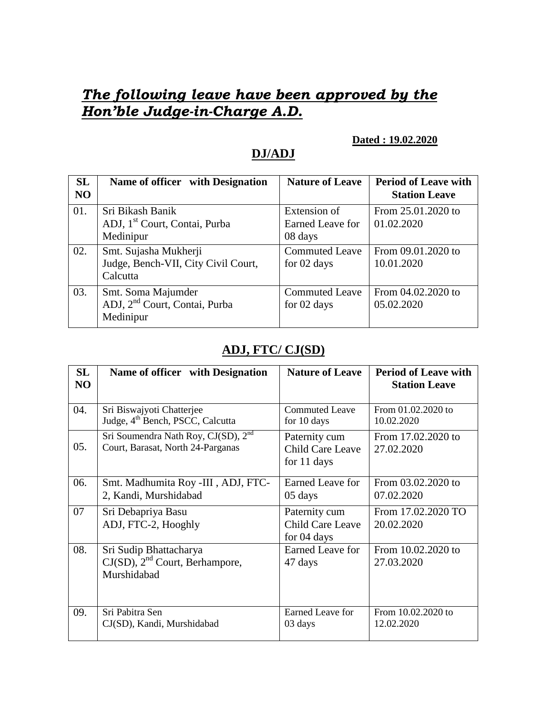# *The following leave have been approved by the Hon'ble Judge-in-Charge A.D.*

#### **Dated : 19.02.2020**

### **DJ/ADJ**

| SL<br>N <sub>O</sub> | Name of officer with Designation          | <b>Nature of Leave</b> | <b>Period of Leave with</b><br><b>Station Leave</b> |
|----------------------|-------------------------------------------|------------------------|-----------------------------------------------------|
| 01.                  | Sri Bikash Banik                          | Extension of           | From 25.01.2020 to                                  |
|                      | ADJ, 1 <sup>st</sup> Court, Contai, Purba | Earned Leave for       | 01.02.2020                                          |
|                      | Medinipur                                 | 08 days                |                                                     |
| 02.                  | Smt. Sujasha Mukherji                     | <b>Commuted Leave</b>  | From 09.01.2020 to                                  |
|                      | Judge, Bench-VII, City Civil Court,       | for 02 days            | 10.01.2020                                          |
|                      | Calcutta                                  |                        |                                                     |
| 03.                  | Smt. Soma Majumder                        | <b>Commuted Leave</b>  | From 04.02.2020 to                                  |
|                      | ADJ, 2 <sup>nd</sup> Court, Contai, Purba | for 02 days            | 05.02.2020                                          |
|                      | Medinipur                                 |                        |                                                     |

### **ADJ, FTC/ CJ(SD)**

| SL<br>NO | Name of officer with Designation                                                     | <b>Nature of Leave</b>                                  | <b>Period of Leave with</b><br><b>Station Leave</b> |
|----------|--------------------------------------------------------------------------------------|---------------------------------------------------------|-----------------------------------------------------|
| 04.      | Sri Biswajyoti Chatterjee<br>Judge, 4 <sup>th</sup> Bench, PSCC, Calcutta            | <b>Commuted Leave</b><br>for 10 days                    | From 01.02.2020 to<br>10.02.2020                    |
| 05.      | Sri Soumendra Nath Roy, CJ(SD), 2 <sup>nd</sup><br>Court, Barasat, North 24-Parganas | Paternity cum<br>Child Care Leave<br>for 11 days        | From 17.02.2020 to<br>27.02.2020                    |
| 06.      | Smt. Madhumita Roy -III, ADJ, FTC-<br>2, Kandi, Murshidabad                          | Earned Leave for<br>05 days                             | From 03.02.2020 to<br>07.02.2020                    |
| 07       | Sri Debapriya Basu<br>ADJ, FTC-2, Hooghly                                            | Paternity cum<br><b>Child Care Leave</b><br>for 04 days | From 17.02.2020 TO<br>20.02.2020                    |
| 08.      | Sri Sudip Bhattacharya<br>$CJ(SD)$ , $2nd$ Court, Berhampore,<br>Murshidabad         | Earned Leave for<br>47 days                             | From 10.02.2020 to<br>27.03.2020                    |
| 09.      | Sri Pabitra Sen<br>CJ(SD), Kandi, Murshidabad                                        | Earned Leave for<br>03 days                             | From 10.02.2020 to<br>12.02.2020                    |